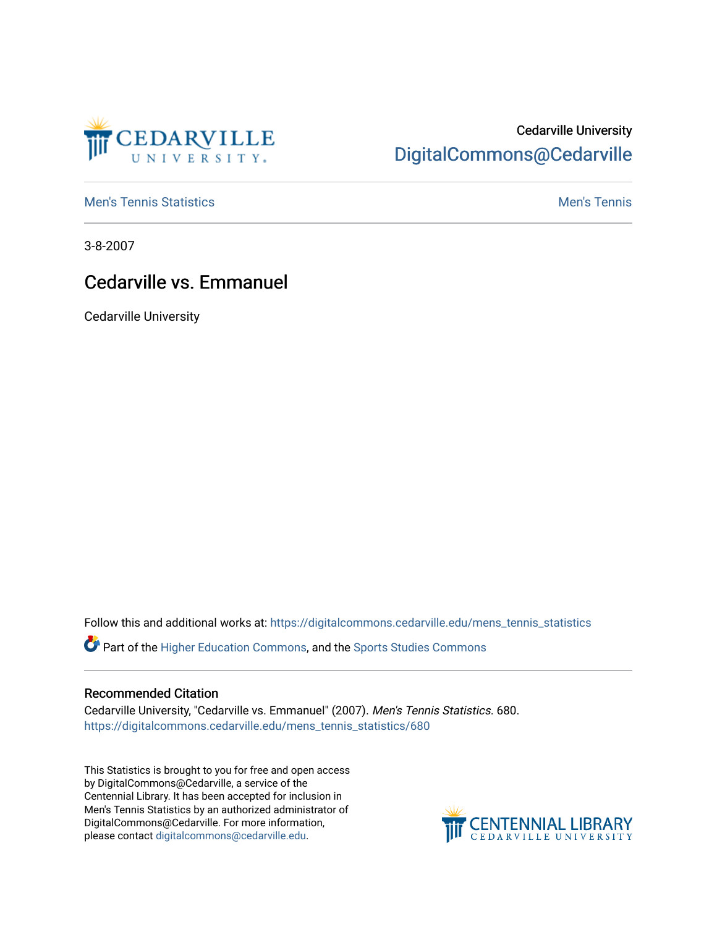

# Cedarville University [DigitalCommons@Cedarville](https://digitalcommons.cedarville.edu/)

**[Men's Tennis Statistics](https://digitalcommons.cedarville.edu/mens_tennis_statistics) Men's Tennis** Men's Tennis

3-8-2007

## Cedarville vs. Emmanuel

Cedarville University

Follow this and additional works at: [https://digitalcommons.cedarville.edu/mens\\_tennis\\_statistics](https://digitalcommons.cedarville.edu/mens_tennis_statistics?utm_source=digitalcommons.cedarville.edu%2Fmens_tennis_statistics%2F680&utm_medium=PDF&utm_campaign=PDFCoverPages)

Part of the [Higher Education Commons,](http://network.bepress.com/hgg/discipline/1245?utm_source=digitalcommons.cedarville.edu%2Fmens_tennis_statistics%2F680&utm_medium=PDF&utm_campaign=PDFCoverPages) and the [Sports Studies Commons](http://network.bepress.com/hgg/discipline/1198?utm_source=digitalcommons.cedarville.edu%2Fmens_tennis_statistics%2F680&utm_medium=PDF&utm_campaign=PDFCoverPages) 

#### Recommended Citation

Cedarville University, "Cedarville vs. Emmanuel" (2007). Men's Tennis Statistics. 680. [https://digitalcommons.cedarville.edu/mens\\_tennis\\_statistics/680](https://digitalcommons.cedarville.edu/mens_tennis_statistics/680?utm_source=digitalcommons.cedarville.edu%2Fmens_tennis_statistics%2F680&utm_medium=PDF&utm_campaign=PDFCoverPages) 

This Statistics is brought to you for free and open access by DigitalCommons@Cedarville, a service of the Centennial Library. It has been accepted for inclusion in Men's Tennis Statistics by an authorized administrator of DigitalCommons@Cedarville. For more information, please contact [digitalcommons@cedarville.edu](mailto:digitalcommons@cedarville.edu).